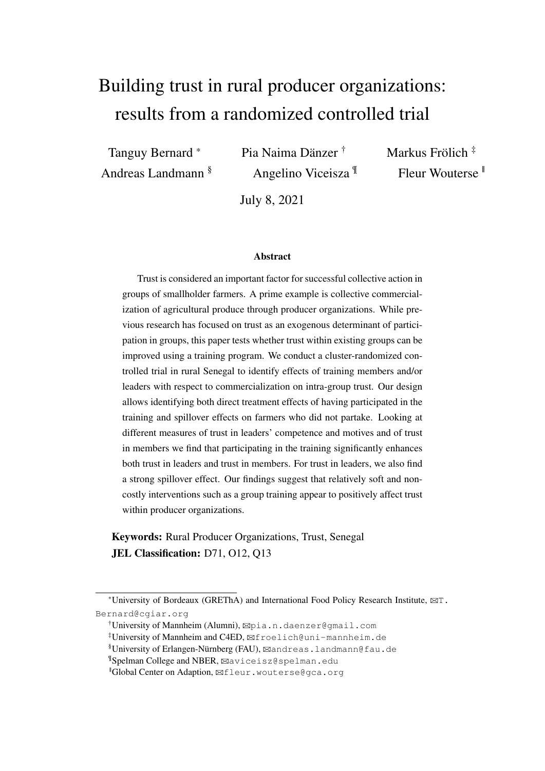# <span id="page-0-0"></span>Building trust in rural producer organizations: results from a randomized controlled trial

Tanguy Bernard \* Pia Naima Dänzer † Markus Frölich ‡ Andreas Landmann<sup>§</sup> Angelino Viceisza <sup>¶</sup> Fleur Wouterse  $\parallel$ 

July 8, 2021

#### Abstract

Trust is considered an important factor for successful collective action in groups of smallholder farmers. A prime example is collective commercialization of agricultural produce through producer organizations. While previous research has focused on trust as an exogenous determinant of participation in groups, this paper tests whether trust within existing groups can be improved using a training program. We conduct a cluster-randomized controlled trial in rural Senegal to identify effects of training members and/or leaders with respect to commercialization on intra-group trust. Our design allows identifying both direct treatment effects of having participated in the training and spillover effects on farmers who did not partake. Looking at different measures of trust in leaders' competence and motives and of trust in members we find that participating in the training significantly enhances both trust in leaders and trust in members. For trust in leaders, we also find a strong spillover effect. Our findings suggest that relatively soft and noncostly interventions such as a group training appear to positively affect trust within producer organizations.

Keywords: Rural Producer Organizations, Trust, Senegal JEL Classification: D71, O12, Q13

<sup>\*</sup>University of Bordeaux (GREThA) and International Food Policy Research Institute,  $\boxtimes$ T. Bernard@cgiar.org

<sup>†</sup>University of Mannheim (Alumni), Bpia.n.daenzer@gmail.com

<sup>‡</sup>University of Mannheim and C4ED, Bfroelich@uni-mannheim.de

<sup>§</sup>University of Erlangen-Nürnberg (FAU), Bandreas.landmann@fau.de

<sup>¶</sup>Spelman College and NBER, Baviceisz@spelman.edu

<sup>||</sup>Global Center on Adaption, Bfleur.wouterse@gca.org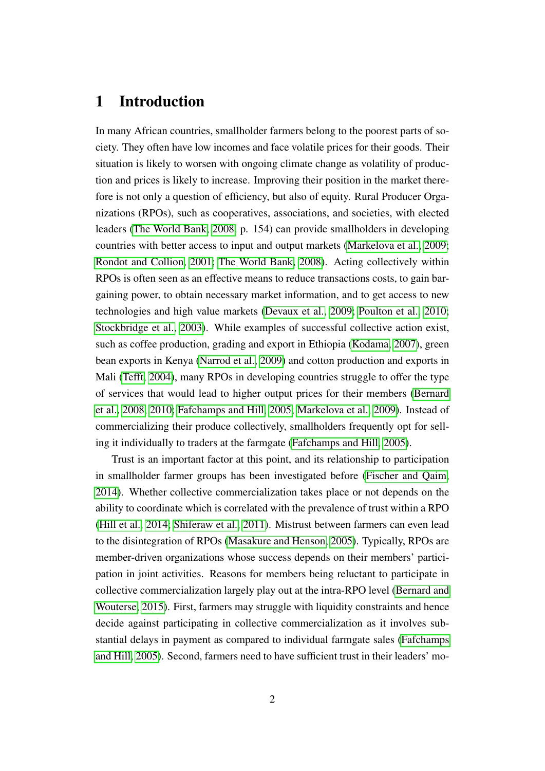### 1 Introduction

In many African countries, smallholder farmers belong to the poorest parts of society. They often have low incomes and face volatile prices for their goods. Their situation is likely to worsen with ongoing climate change as volatility of production and prices is likely to increase. Improving their position in the market therefore is not only a question of efficiency, but also of equity. Rural Producer Organizations (RPOs), such as cooperatives, associations, and societies, with elected leaders [\(The World Bank, 2008,](#page-21-0) p. 154) can provide smallholders in developing countries with better access to input and output markets [\(Markelova et al., 2009;](#page-20-0) [Rondot and Collion, 2001;](#page-20-1) [The World Bank, 2008\)](#page-21-0). Acting collectively within RPOs is often seen as an effective means to reduce transactions costs, to gain bargaining power, to obtain necessary market information, and to get access to new technologies and high value markets [\(Devaux et al., 2009;](#page-19-0) [Poulton et al., 2010;](#page-20-2) [Stockbridge et al., 2003\)](#page-21-1). While examples of successful collective action exist, such as coffee production, grading and export in Ethiopia [\(Kodama, 2007\)](#page-20-3), green bean exports in Kenya [\(Narrod et al., 2009\)](#page-20-4) and cotton production and exports in Mali [\(Tefft, 2004\)](#page-21-2), many RPOs in developing countries struggle to offer the type of services that would lead to higher output prices for their members [\(Bernard](#page-19-1) [et al., 2008,](#page-19-1) [2010;](#page-19-2) [Fafchamps and Hill, 2005;](#page-19-3) [Markelova et al., 2009\)](#page-20-0). Instead of commercializing their produce collectively, smallholders frequently opt for selling it individually to traders at the farmgate [\(Fafchamps and Hill, 2005\)](#page-19-3).

Trust is an important factor at this point, and its relationship to participation in smallholder farmer groups has been investigated before [\(Fischer and Qaim,](#page-20-5) [2014\)](#page-20-5). Whether collective commercialization takes place or not depends on the ability to coordinate which is correlated with the prevalence of trust within a RPO [\(Hill et al., 2014;](#page-20-6) [Shiferaw et al., 2011\)](#page-21-3). Mistrust between farmers can even lead to the disintegration of RPOs [\(Masakure and Henson, 2005\)](#page-20-7). Typically, RPOs are member-driven organizations whose success depends on their members' participation in joint activities. Reasons for members being reluctant to participate in collective commercialization largely play out at the intra-RPO level [\(Bernard and](#page-19-4) [Wouterse, 2015\)](#page-19-4). First, farmers may struggle with liquidity constraints and hence decide against participating in collective commercialization as it involves substantial delays in payment as compared to individual farmgate sales [\(Fafchamps](#page-19-3) [and Hill, 2005\)](#page-19-3). Second, farmers need to have sufficient trust in their leaders' mo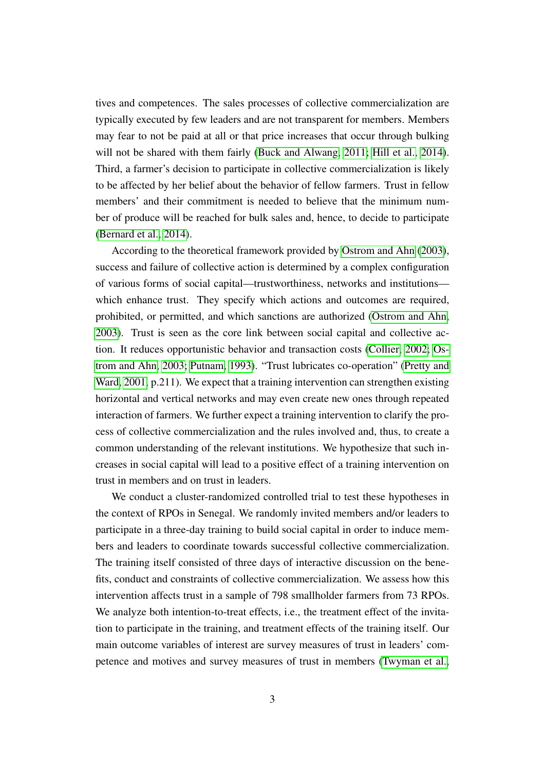tives and competences. The sales processes of collective commercialization are typically executed by few leaders and are not transparent for members. Members may fear to not be paid at all or that price increases that occur through bulking will not be shared with them fairly [\(Buck and Alwang, 2011;](#page-19-5) [Hill et al., 2014\)](#page-20-6). Third, a farmer's decision to participate in collective commercialization is likely to be affected by her belief about the behavior of fellow farmers. Trust in fellow members' and their commitment is needed to believe that the minimum number of produce will be reached for bulk sales and, hence, to decide to participate [\(Bernard et al., 2014\)](#page-19-6).

According to the theoretical framework provided by [Ostrom and Ahn](#page-20-8) [\(2003\)](#page-20-8), success and failure of collective action is determined by a complex configuration of various forms of social capital—trustworthiness, networks and institutions which enhance trust. They specify which actions and outcomes are required, prohibited, or permitted, and which sanctions are authorized [\(Ostrom and Ahn,](#page-20-8) [2003\)](#page-20-8). Trust is seen as the core link between social capital and collective action. It reduces opportunistic behavior and transaction costs [\(Collier, 2002;](#page-19-7) [Os](#page-20-8)[trom and Ahn, 2003;](#page-20-8) [Putnam, 1993\)](#page-20-9). "Trust lubricates co-operation" [\(Pretty and](#page-20-10) [Ward, 2001,](#page-20-10) p.211). We expect that a training intervention can strengthen existing horizontal and vertical networks and may even create new ones through repeated interaction of farmers. We further expect a training intervention to clarify the process of collective commercialization and the rules involved and, thus, to create a common understanding of the relevant institutions. We hypothesize that such increases in social capital will lead to a positive effect of a training intervention on trust in members and on trust in leaders.

We conduct a cluster-randomized controlled trial to test these hypotheses in the context of RPOs in Senegal. We randomly invited members and/or leaders to participate in a three-day training to build social capital in order to induce members and leaders to coordinate towards successful collective commercialization. The training itself consisted of three days of interactive discussion on the benefits, conduct and constraints of collective commercialization. We assess how this intervention affects trust in a sample of 798 smallholder farmers from 73 RPOs. We analyze both intention-to-treat effects, i.e., the treatment effect of the invitation to participate in the training, and treatment effects of the training itself. Our main outcome variables of interest are survey measures of trust in leaders' competence and motives and survey measures of trust in members [\(Twyman et al.,](#page-21-4)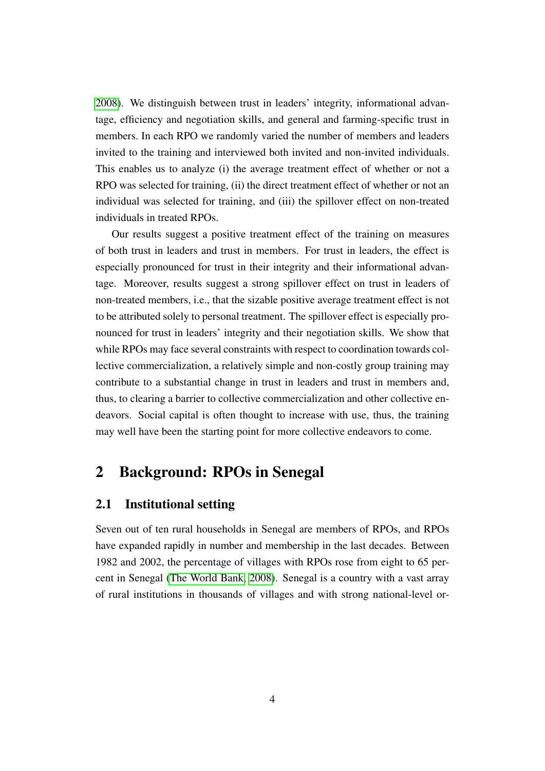[2008\)](#page-21-4). We distinguish between trust in leaders' integrity, informational advantage, efficiency and negotiation skills, and general and farming-specific trust in members. In each RPO we randomly varied the number of members and leaders invited to the training and interviewed both invited and non-invited individuals. This enables us to analyze (i) the average treatment effect of whether or not a RPO was selected for training, (ii) the direct treatment effect of whether or not an individual was selected for training, and (iii) the spillover effect on non-treated individuals in treated RPOs.

Our results suggest a positive treatment effect of the training on measures of both trust in leaders and trust in members. For trust in leaders, the effect is especially pronounced for trust in their integrity and their informational advantage. Moreover, results suggest a strong spillover effect on trust in leaders of non-treated members, i.e., that the sizable positive average treatment effect is not to be attributed solely to personal treatment. The spillover effect is especially pronounced for trust in leaders' integrity and their negotiation skills. We show that while RPOs may face several constraints with respect to coordination towards collective commercialization, a relatively simple and non-costly group training may contribute to a substantial change in trust in leaders and trust in members and, thus, to clearing a barrier to collective commercialization and other collective endeavors. Social capital is often thought to increase with use, thus, the training may well have been the starting point for more collective endeavors to come.

### 2 Background: RPOs in Senegal

#### 2.1 Institutional setting

Seven out of ten rural households in Senegal are members of RPOs, and RPOs have expanded rapidly in number and membership in the last decades. Between 1982 and 2002, the percentage of villages with RPOs rose from eight to 65 percent in Senegal [\(The World Bank, 2008\)](#page-21-0). Senegal is a country with a vast array of rural institutions in thousands of villages and with strong national-level or-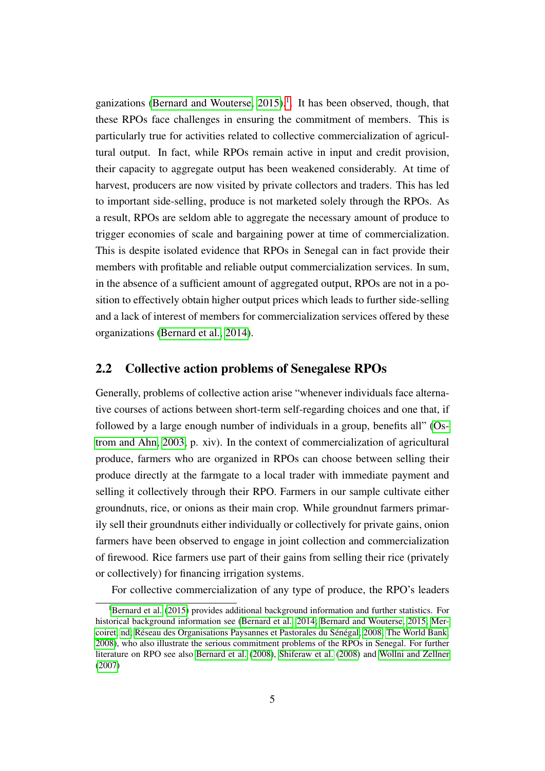ganizations (Bernard and Wouterse,  $2015$  $2015$  $2015$ ).<sup>1</sup>. It has been observed, though, that these RPOs face challenges in ensuring the commitment of members. This is particularly true for activities related to collective commercialization of agricultural output. In fact, while RPOs remain active in input and credit provision, their capacity to aggregate output has been weakened considerably. At time of harvest, producers are now visited by private collectors and traders. This has led to important side-selling, produce is not marketed solely through the RPOs. As a result, RPOs are seldom able to aggregate the necessary amount of produce to trigger economies of scale and bargaining power at time of commercialization. This is despite isolated evidence that RPOs in Senegal can in fact provide their members with profitable and reliable output commercialization services. In sum, in the absence of a sufficient amount of aggregated output, RPOs are not in a position to effectively obtain higher output prices which leads to further side-selling and a lack of interest of members for commercialization services offered by these organizations [\(Bernard et al., 2014\)](#page-19-6).

### 2.2 Collective action problems of Senegalese RPOs

Generally, problems of collective action arise "whenever individuals face alternative courses of actions between short-term self-regarding choices and one that, if followed by a large enough number of individuals in a group, benefits all" [\(Os](#page-20-8)[trom and Ahn, 2003,](#page-20-8) p. xiv). In the context of commercialization of agricultural produce, farmers who are organized in RPOs can choose between selling their produce directly at the farmgate to a local trader with immediate payment and selling it collectively through their RPO. Farmers in our sample cultivate either groundnuts, rice, or onions as their main crop. While groundnut farmers primarily sell their groundnuts either individually or collectively for private gains, onion farmers have been observed to engage in joint collection and commercialization of firewood. Rice farmers use part of their gains from selling their rice (privately or collectively) for financing irrigation systems.

For collective commercialization of any type of produce, the RPO's leaders

<sup>&</sup>lt;sup>1</sup>[Bernard et al.](#page-19-8) [\(2015\)](#page-19-8) provides additional background information and further statistics. For historical background information see [\(Bernard et al., 2014;](#page-19-6) [Bernard and Wouterse, 2015;](#page-19-4) [Mer](#page-20-11)[coiret, nd;](#page-20-11) [Réseau des Organisations Paysannes et Pastorales du Sénégal, 2008;](#page-20-12) [The World Bank,](#page-21-0) [2008\)](#page-21-0), who also illustrate the serious commitment problems of the RPOs in Senegal. For further literature on RPO see also [Bernard et al.](#page-19-9) [\(2008\)](#page-19-9), [Shiferaw et al.](#page-21-5) [\(2008\)](#page-21-5) and [Wollni and Zellner](#page-21-6) [\(2007\)](#page-21-6)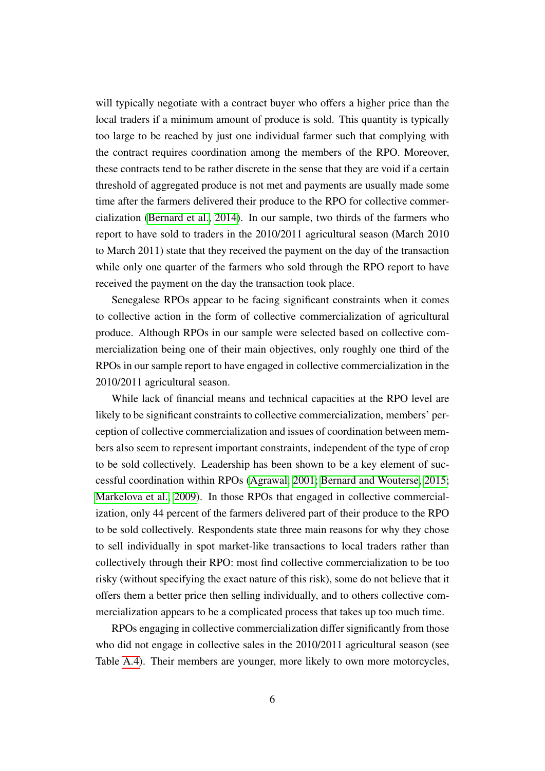will typically negotiate with a contract buyer who offers a higher price than the local traders if a minimum amount of produce is sold. This quantity is typically too large to be reached by just one individual farmer such that complying with the contract requires coordination among the members of the RPO. Moreover, these contracts tend to be rather discrete in the sense that they are void if a certain threshold of aggregated produce is not met and payments are usually made some time after the farmers delivered their produce to the RPO for collective commercialization [\(Bernard et al., 2014\)](#page-19-6). In our sample, two thirds of the farmers who report to have sold to traders in the 2010/2011 agricultural season (March 2010 to March 2011) state that they received the payment on the day of the transaction while only one quarter of the farmers who sold through the RPO report to have received the payment on the day the transaction took place.

Senegalese RPOs appear to be facing significant constraints when it comes to collective action in the form of collective commercialization of agricultural produce. Although RPOs in our sample were selected based on collective commercialization being one of their main objectives, only roughly one third of the RPOs in our sample report to have engaged in collective commercialization in the 2010/2011 agricultural season.

While lack of financial means and technical capacities at the RPO level are likely to be significant constraints to collective commercialization, members' perception of collective commercialization and issues of coordination between members also seem to represent important constraints, independent of the type of crop to be sold collectively. Leadership has been shown to be a key element of successful coordination within RPOs [\(Agrawal, 2001;](#page-19-10) [Bernard and Wouterse, 2015;](#page-19-4) [Markelova et al., 2009\)](#page-20-0). In those RPOs that engaged in collective commercialization, only 44 percent of the farmers delivered part of their produce to the RPO to be sold collectively. Respondents state three main reasons for why they chose to sell individually in spot market-like transactions to local traders rather than collectively through their RPO: most find collective commercialization to be too risky (without specifying the exact nature of this risk), some do not believe that it offers them a better price then selling individually, and to others collective commercialization appears to be a complicated process that takes up too much time.

RPOs engaging in collective commercialization differ significantly from those who did not engage in collective sales in the 2010/2011 agricultural season (see Table [A.4\)](#page-22-0). Their members are younger, more likely to own more motorcycles,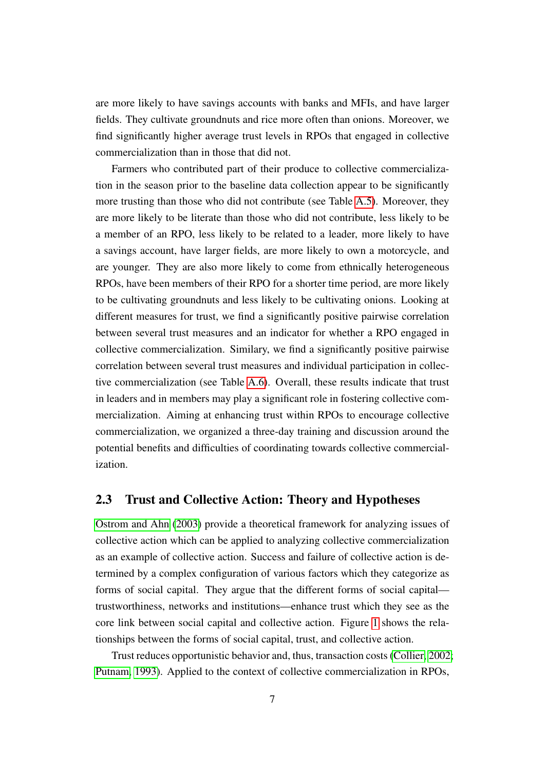are more likely to have savings accounts with banks and MFIs, and have larger fields. They cultivate groundnuts and rice more often than onions. Moreover, we find significantly higher average trust levels in RPOs that engaged in collective commercialization than in those that did not.

Farmers who contributed part of their produce to collective commercialization in the season prior to the baseline data collection appear to be significantly more trusting than those who did not contribute (see Table [A.5\)](#page-23-0). Moreover, they are more likely to be literate than those who did not contribute, less likely to be a member of an RPO, less likely to be related to a leader, more likely to have a savings account, have larger fields, are more likely to own a motorcycle, and are younger. They are also more likely to come from ethnically heterogeneous RPOs, have been members of their RPO for a shorter time period, are more likely to be cultivating groundnuts and less likely to be cultivating onions. Looking at different measures for trust, we find a significantly positive pairwise correlation between several trust measures and an indicator for whether a RPO engaged in collective commercialization. Similary, we find a significantly positive pairwise correlation between several trust measures and individual participation in collective commercialization (see Table [A.6\)](#page-24-0). Overall, these results indicate that trust in leaders and in members may play a significant role in fostering collective commercialization. Aiming at enhancing trust within RPOs to encourage collective commercialization, we organized a three-day training and discussion around the potential benefits and difficulties of coordinating towards collective commercialization.

### 2.3 Trust and Collective Action: Theory and Hypotheses

[Ostrom and Ahn](#page-20-8) [\(2003\)](#page-20-8) provide a theoretical framework for analyzing issues of collective action which can be applied to analyzing collective commercialization as an example of collective action. Success and failure of collective action is determined by a complex configuration of various factors which they categorize as forms of social capital. They argue that the different forms of social capital trustworthiness, networks and institutions—enhance trust which they see as the core link between social capital and collective action. Figure [1](#page-7-0) shows the relationships between the forms of social capital, trust, and collective action.

Trust reduces opportunistic behavior and, thus, transaction costs [\(Collier, 2002;](#page-19-7) [Putnam, 1993\)](#page-20-9). Applied to the context of collective commercialization in RPOs,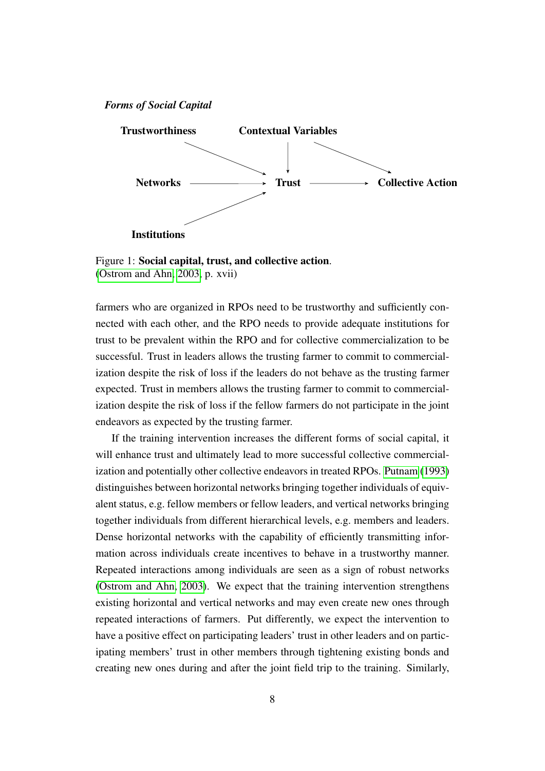#### <span id="page-7-0"></span>*Forms of Social Capital*



Figure 1: Social capital, trust, and collective action. [\(Ostrom and Ahn, 2003,](#page-20-8) p. xvii)

farmers who are organized in RPOs need to be trustworthy and sufficiently connected with each other, and the RPO needs to provide adequate institutions for trust to be prevalent within the RPO and for collective commercialization to be successful. Trust in leaders allows the trusting farmer to commit to commercialization despite the risk of loss if the leaders do not behave as the trusting farmer expected. Trust in members allows the trusting farmer to commit to commercialization despite the risk of loss if the fellow farmers do not participate in the joint endeavors as expected by the trusting farmer.

If the training intervention increases the different forms of social capital, it will enhance trust and ultimately lead to more successful collective commercialization and potentially other collective endeavors in treated RPOs. [Putnam](#page-20-9) [\(1993\)](#page-20-9) distinguishes between horizontal networks bringing together individuals of equivalent status, e.g. fellow members or fellow leaders, and vertical networks bringing together individuals from different hierarchical levels, e.g. members and leaders. Dense horizontal networks with the capability of efficiently transmitting information across individuals create incentives to behave in a trustworthy manner. Repeated interactions among individuals are seen as a sign of robust networks [\(Ostrom and Ahn, 2003\)](#page-20-8). We expect that the training intervention strengthens existing horizontal and vertical networks and may even create new ones through repeated interactions of farmers. Put differently, we expect the intervention to have a positive effect on participating leaders' trust in other leaders and on participating members' trust in other members through tightening existing bonds and creating new ones during and after the joint field trip to the training. Similarly,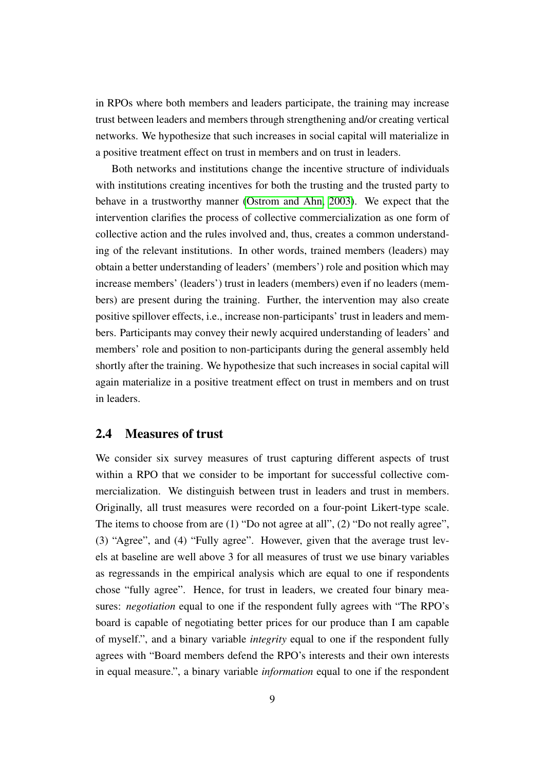in RPOs where both members and leaders participate, the training may increase trust between leaders and members through strengthening and/or creating vertical networks. We hypothesize that such increases in social capital will materialize in a positive treatment effect on trust in members and on trust in leaders.

Both networks and institutions change the incentive structure of individuals with institutions creating incentives for both the trusting and the trusted party to behave in a trustworthy manner [\(Ostrom and Ahn, 2003\)](#page-20-8). We expect that the intervention clarifies the process of collective commercialization as one form of collective action and the rules involved and, thus, creates a common understanding of the relevant institutions. In other words, trained members (leaders) may obtain a better understanding of leaders' (members') role and position which may increase members' (leaders') trust in leaders (members) even if no leaders (members) are present during the training. Further, the intervention may also create positive spillover effects, i.e., increase non-participants' trust in leaders and members. Participants may convey their newly acquired understanding of leaders' and members' role and position to non-participants during the general assembly held shortly after the training. We hypothesize that such increases in social capital will again materialize in a positive treatment effect on trust in members and on trust in leaders.

#### 2.4 Measures of trust

We consider six survey measures of trust capturing different aspects of trust within a RPO that we consider to be important for successful collective commercialization. We distinguish between trust in leaders and trust in members. Originally, all trust measures were recorded on a four-point Likert-type scale. The items to choose from are (1) "Do not agree at all", (2) "Do not really agree", (3) "Agree", and (4) "Fully agree". However, given that the average trust levels at baseline are well above 3 for all measures of trust we use binary variables as regressands in the empirical analysis which are equal to one if respondents chose "fully agree". Hence, for trust in leaders, we created four binary measures: *negotiation* equal to one if the respondent fully agrees with "The RPO's board is capable of negotiating better prices for our produce than I am capable of myself.", and a binary variable *integrity* equal to one if the respondent fully agrees with "Board members defend the RPO's interests and their own interests in equal measure.", a binary variable *information* equal to one if the respondent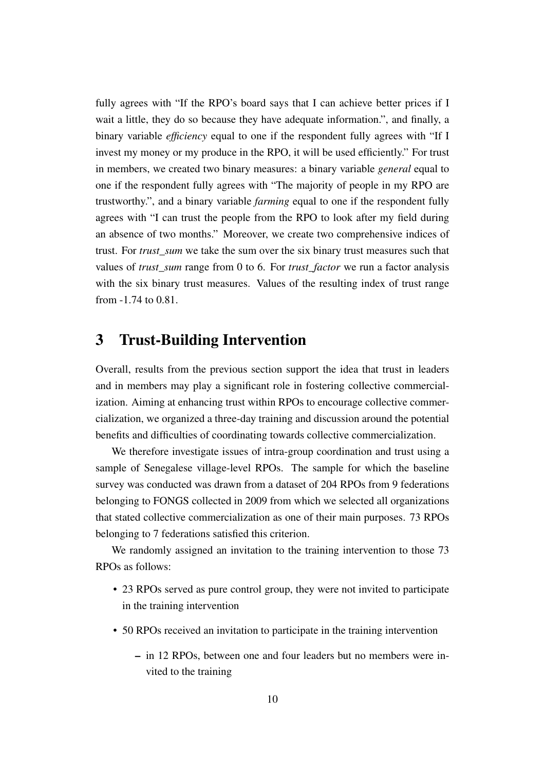fully agrees with "If the RPO's board says that I can achieve better prices if I wait a little, they do so because they have adequate information.", and finally, a binary variable *efficiency* equal to one if the respondent fully agrees with "If I invest my money or my produce in the RPO, it will be used efficiently." For trust in members, we created two binary measures: a binary variable *general* equal to one if the respondent fully agrees with "The majority of people in my RPO are trustworthy.", and a binary variable *farming* equal to one if the respondent fully agrees with "I can trust the people from the RPO to look after my field during an absence of two months." Moreover, we create two comprehensive indices of trust. For *trust sum* we take the sum over the six binary trust measures such that values of *trust\_sum* range from 0 to 6. For *trust\_factor* we run a factor analysis with the six binary trust measures. Values of the resulting index of trust range from -1.74 to 0.81.

### 3 Trust-Building Intervention

Overall, results from the previous section support the idea that trust in leaders and in members may play a significant role in fostering collective commercialization. Aiming at enhancing trust within RPOs to encourage collective commercialization, we organized a three-day training and discussion around the potential benefits and difficulties of coordinating towards collective commercialization.

We therefore investigate issues of intra-group coordination and trust using a sample of Senegalese village-level RPOs. The sample for which the baseline survey was conducted was drawn from a dataset of 204 RPOs from 9 federations belonging to FONGS collected in 2009 from which we selected all organizations that stated collective commercialization as one of their main purposes. 73 RPOs belonging to 7 federations satisfied this criterion.

We randomly assigned an invitation to the training intervention to those 73 RPOs as follows:

- 23 RPOs served as pure control group, they were not invited to participate in the training intervention
- 50 RPOs received an invitation to participate in the training intervention
	- in 12 RPOs, between one and four leaders but no members were invited to the training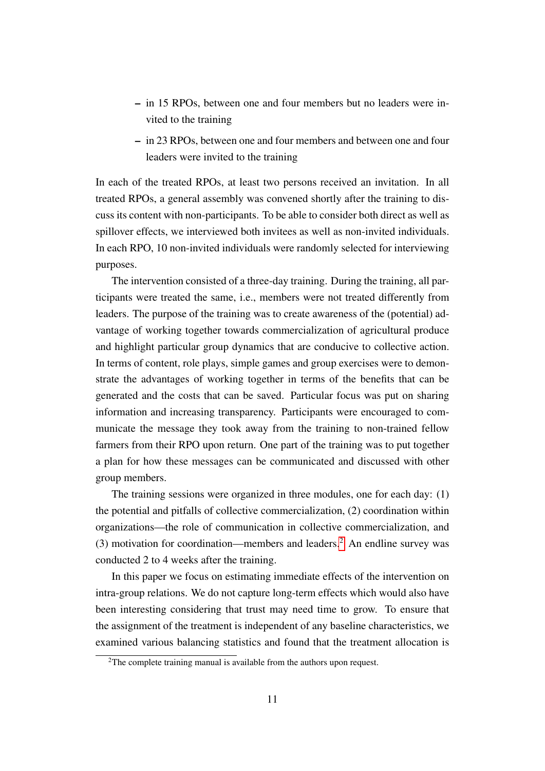- in 15 RPOs, between one and four members but no leaders were invited to the training
- in 23 RPOs, between one and four members and between one and four leaders were invited to the training

In each of the treated RPOs, at least two persons received an invitation. In all treated RPOs, a general assembly was convened shortly after the training to discuss its content with non-participants. To be able to consider both direct as well as spillover effects, we interviewed both invitees as well as non-invited individuals. In each RPO, 10 non-invited individuals were randomly selected for interviewing purposes.

The intervention consisted of a three-day training. During the training, all participants were treated the same, i.e., members were not treated differently from leaders. The purpose of the training was to create awareness of the (potential) advantage of working together towards commercialization of agricultural produce and highlight particular group dynamics that are conducive to collective action. In terms of content, role plays, simple games and group exercises were to demonstrate the advantages of working together in terms of the benefits that can be generated and the costs that can be saved. Particular focus was put on sharing information and increasing transparency. Participants were encouraged to communicate the message they took away from the training to non-trained fellow farmers from their RPO upon return. One part of the training was to put together a plan for how these messages can be communicated and discussed with other group members.

The training sessions were organized in three modules, one for each day: (1) the potential and pitfalls of collective commercialization, (2) coordination within organizations—the role of communication in collective commercialization, and (3) motivation for coordination—members and leaders.<sup>[2](#page-0-0)</sup> An endline survey was conducted 2 to 4 weeks after the training.

In this paper we focus on estimating immediate effects of the intervention on intra-group relations. We do not capture long-term effects which would also have been interesting considering that trust may need time to grow. To ensure that the assignment of the treatment is independent of any baseline characteristics, we examined various balancing statistics and found that the treatment allocation is

<sup>&</sup>lt;sup>2</sup>The complete training manual is available from the authors upon request.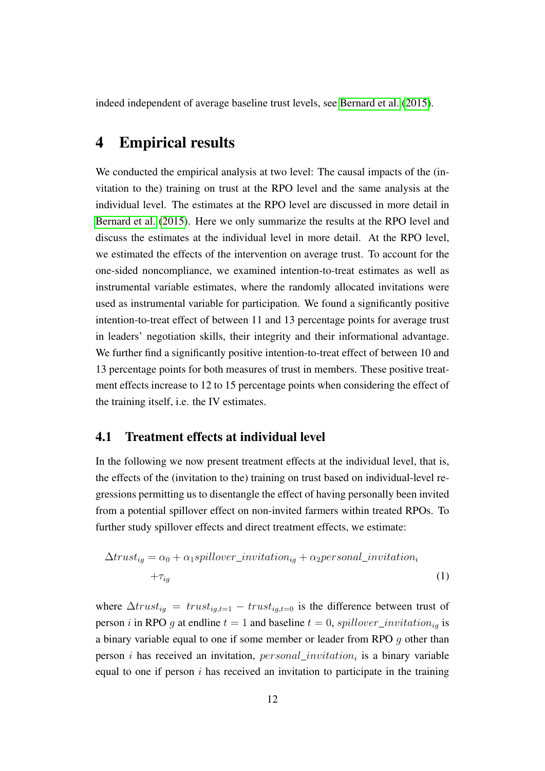indeed independent of average baseline trust levels, see [Bernard et al.](#page-19-8) [\(2015\)](#page-19-8).

### 4 Empirical results

We conducted the empirical analysis at two level: The causal impacts of the (invitation to the) training on trust at the RPO level and the same analysis at the individual level. The estimates at the RPO level are discussed in more detail in [Bernard et al.](#page-19-8) [\(2015\)](#page-19-8). Here we only summarize the results at the RPO level and discuss the estimates at the individual level in more detail. At the RPO level, we estimated the effects of the intervention on average trust. To account for the one-sided noncompliance, we examined intention-to-treat estimates as well as instrumental variable estimates, where the randomly allocated invitations were used as instrumental variable for participation. We found a significantly positive intention-to-treat effect of between 11 and 13 percentage points for average trust in leaders' negotiation skills, their integrity and their informational advantage. We further find a significantly positive intention-to-treat effect of between 10 and 13 percentage points for both measures of trust in members. These positive treatment effects increase to 12 to 15 percentage points when considering the effect of the training itself, i.e. the IV estimates.

### 4.1 Treatment effects at individual level

In the following we now present treatment effects at the individual level, that is, the effects of the (invitation to the) training on trust based on individual-level regressions permitting us to disentangle the effect of having personally been invited from a potential spillover effect on non-invited farmers within treated RPOs. To further study spillover effects and direct treatment effects, we estimate:

<span id="page-11-0"></span>
$$
\Delta trust_{ig} = \alpha_0 + \alpha_1 spillover\_invitation_{ig} + \alpha_2 personal\_invitation_i
$$

$$
+ \tau_{ig}
$$
 (1)

where  $\Delta trust_{iq} = trust_{iq,t=1} - trust_{iq,t=0}$  is the difference between trust of person i in RPO g at endline  $t = 1$  and baseline  $t = 0$ , spillover\_invitation<sub>ig</sub> is a binary variable equal to one if some member or leader from RPO g other than person *i* has received an invitation,  $personal\_invitation_i$  is a binary variable equal to one if person  $i$  has received an invitation to participate in the training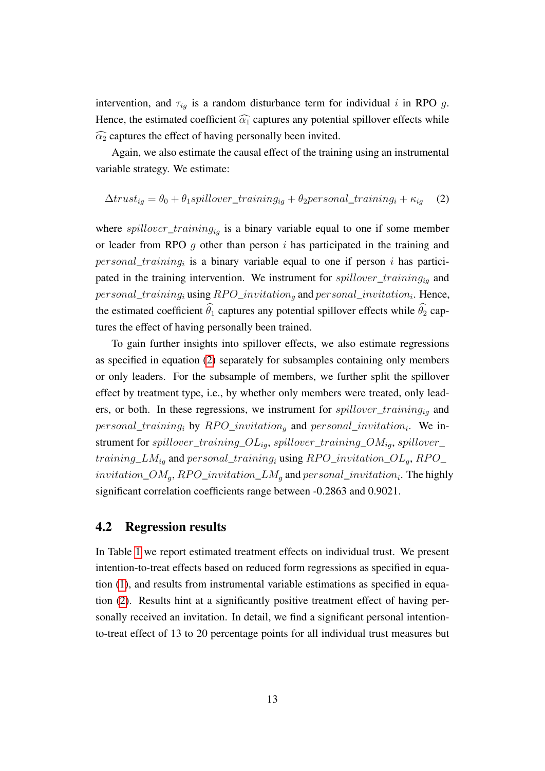intervention, and  $\tau_{iq}$  is a random disturbance term for individual i in RPO g. Hence, the estimated coefficient  $\widehat{\alpha_1}$  captures any potential spillover effects while  $\widehat{\alpha_2}$  captures the effect of having personally been invited.

Again, we also estimate the causal effect of the training using an instrumental variable strategy. We estimate:

### <span id="page-12-0"></span> $\Delta trust_{ig} = \theta_0 + \theta_1 spillover\_training_{ig} + \theta_2 personal\_training_i + \kappa_{ig}$  (2)

where  $\text{spillover\_training}_{ig}$  is a binary variable equal to one if some member or leader from RPO  $q$  other than person  $i$  has participated in the training and  $personal\_training_i$  is a binary variable equal to one if person i has participated in the training intervention. We instrument for  $spillover\_training_{io}$  and  $personal\_training_i$  using  $RPO\_invitation_g$  and  $personal\_invitation_i$ . Hence, the estimated coefficient  $\hat{\theta}_1$  captures any potential spillover effects while  $\hat{\theta}_2$  captures the effect of having personally been trained.

To gain further insights into spillover effects, we also estimate regressions as specified in equation [\(2\)](#page-12-0) separately for subsamples containing only members or only leaders. For the subsample of members, we further split the spillover effect by treatment type, i.e., by whether only members were treated, only leaders, or both. In these regressions, we instrument for  $spillover\_training_{ig}$  and  $personal\_training_i$  by  $RPO\_invitation_g$  and  $personal\_invitation_i$ . We instrument for spillover\_training\_ $OL_{iq}$ , spillover\_training\_ $OM_{iq}$ , spillover\_ training  $LM_{ia}$  and personal\_training<sub>i</sub> using  $RPO\_invitation\_OL_a$ ,  $RPO\_$  $invitation\_OM_g$ , RPO\_invitation\_ $LM_g$  and  $personal\_invitation_i$ . The highly significant correlation coefficients range between -0.2863 and 0.9021.

#### 4.2 Regression results

In Table [1](#page-14-0) we report estimated treatment effects on individual trust. We present intention-to-treat effects based on reduced form regressions as specified in equation [\(1\)](#page-11-0), and results from instrumental variable estimations as specified in equation [\(2\)](#page-12-0). Results hint at a significantly positive treatment effect of having personally received an invitation. In detail, we find a significant personal intentionto-treat effect of 13 to 20 percentage points for all individual trust measures but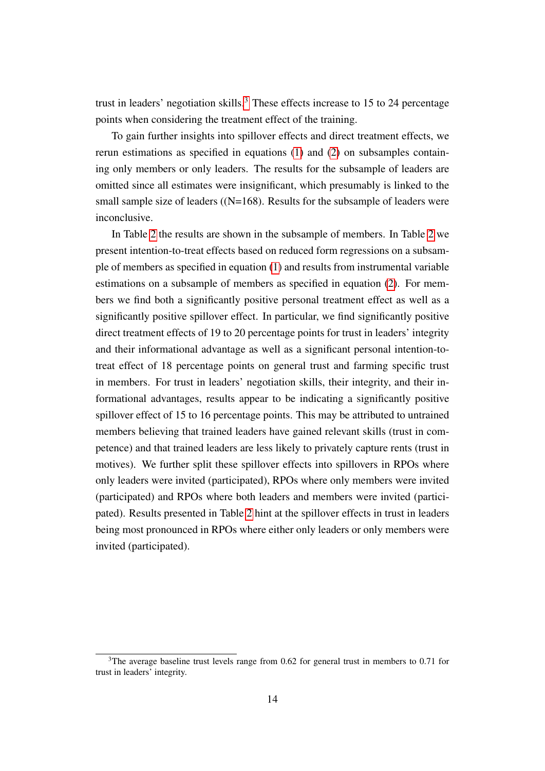trust in leaders' negotiation skills.<sup>[3](#page-0-0)</sup> These effects increase to 15 to 24 percentage points when considering the treatment effect of the training.

To gain further insights into spillover effects and direct treatment effects, we rerun estimations as specified in equations [\(1\)](#page-11-0) and [\(2\)](#page-12-0) on subsamples containing only members or only leaders. The results for the subsample of leaders are omitted since all estimates were insignificant, which presumably is linked to the small sample size of leaders  $(N=168)$ . Results for the subsample of leaders were inconclusive.

In Table [2](#page-15-0) the results are shown in the subsample of members. In Table [2](#page-15-0) we present intention-to-treat effects based on reduced form regressions on a subsample of members as specified in equation [\(1\)](#page-11-0) and results from instrumental variable estimations on a subsample of members as specified in equation [\(2\)](#page-12-0). For members we find both a significantly positive personal treatment effect as well as a significantly positive spillover effect. In particular, we find significantly positive direct treatment effects of 19 to 20 percentage points for trust in leaders' integrity and their informational advantage as well as a significant personal intention-totreat effect of 18 percentage points on general trust and farming specific trust in members. For trust in leaders' negotiation skills, their integrity, and their informational advantages, results appear to be indicating a significantly positive spillover effect of 15 to 16 percentage points. This may be attributed to untrained members believing that trained leaders have gained relevant skills (trust in competence) and that trained leaders are less likely to privately capture rents (trust in motives). We further split these spillover effects into spillovers in RPOs where only leaders were invited (participated), RPOs where only members were invited (participated) and RPOs where both leaders and members were invited (participated). Results presented in Table [2](#page-15-0) hint at the spillover effects in trust in leaders being most pronounced in RPOs where either only leaders or only members were invited (participated).

 $3$ The average baseline trust levels range from 0.62 for general trust in members to 0.71 for trust in leaders' integrity.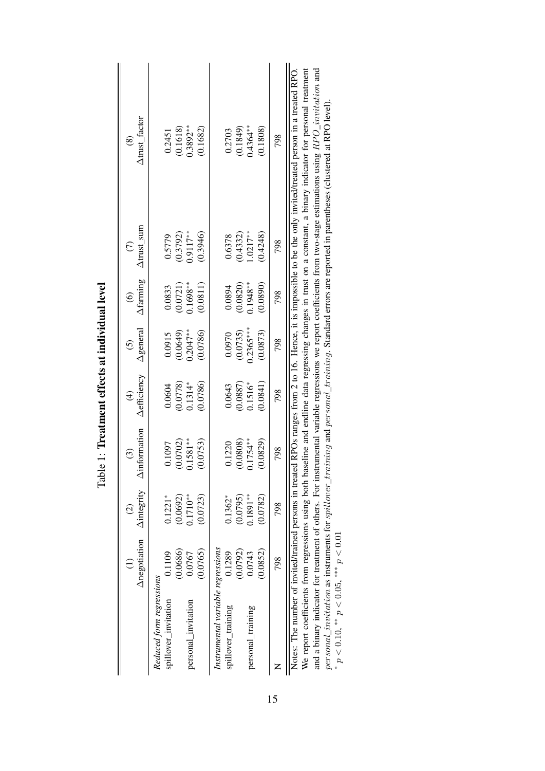<span id="page-14-0"></span>

|                                                  | Anegotiation       | <b>Aintegrity</b><br>$\widehat{c}$ | information<br>$\odot$<br>$\ddot{\tilde{\mathcal{A}}}$ | <b>Aefficiency</b><br>$\widehat{f}$ | $\Delta$ general<br>$\odot$ | Afaming<br>$\widehat{\mathbf{e}}$ | $\Delta$ trust_sum<br>$\widehat{C}$ | $\Delta \text{trust\_factor}$<br>$\circledast$                                                                                                                   |
|--------------------------------------------------|--------------------|------------------------------------|--------------------------------------------------------|-------------------------------------|-----------------------------|-----------------------------------|-------------------------------------|------------------------------------------------------------------------------------------------------------------------------------------------------------------|
| Reduced form regressions<br>spillover_invitation | 0.1109             | $0.1221*$                          | 0.1097                                                 | 0.0604                              | 0.0915                      | 0.0833                            | 0.5779                              | 0.2451                                                                                                                                                           |
|                                                  | (0.0686)           | (0.0692)                           | (0.0702)                                               | $(0.0778)$<br>0.1314*               | (0.0649)                    | $(0.0721)$<br>0.1698**            | (0.3792)                            | (0.1618)                                                                                                                                                         |
| personal_invitation                              | (0.0765)<br>0.0767 | $0.1710**$<br>(0.0723)             | $0.1581**$<br>(0.0753)                                 | 0.0786)                             | (0.0786)<br>$0.2047***$     | (0.0811)                          | 1.9117**<br>(0.3946)                | $0.3892**$<br>(0.1682)                                                                                                                                           |
| Instrumental variable regressions                |                    |                                    |                                                        |                                     |                             |                                   |                                     |                                                                                                                                                                  |
| spillover_training                               | 0.1289             | $0.1362*$                          | 0.1220                                                 | 0.0643                              | 0.0970                      | 0.0894                            | 0.6378                              | 0.2703                                                                                                                                                           |
|                                                  | (0.0792)           | (0.0795)                           | (0.0808)                                               | $(0.0887)$<br>0.1516*               | $(0.0735)$<br>0.2365***     | (0.0820)                          | $(0.4332)$<br>1.0217**              | (0.1849)                                                                                                                                                         |
| personal_training                                | 0.0743             | $0.1891**$                         | $0.1754***$                                            |                                     |                             | $0.1948**$                        |                                     | $0.4364***$                                                                                                                                                      |
|                                                  | (0.0852)           | (0.0782)                           | (0.0829)                                               | 0.0841)                             | (0.0873)                    | 0.0890)                           | (0.4248)                            | (0.1808)                                                                                                                                                         |
|                                                  | 798                | 798                                | 798                                                    | 798                                 | 798                         | 798                               | 798                                 | 798                                                                                                                                                              |
|                                                  |                    |                                    |                                                        |                                     |                             |                                   |                                     | Notes: The number of invited/trained persons in treated RPOs ranges from 2 to 16. Hence, it is impossible to be the only invited/treated person in a treated RPO |

| $\overline{a}$ |
|----------------|
| י<br>י         |
|                |
| ļ              |
|                |
|                |

 $\mathsf{l}$ 15

 $\overline{11}$ We report coefficients from regressions using both baseline and endline data regressing changes in trust on a constant, a binary indicator for personal treatment<br>and a binary indicator for treatment of others. For instrum We report coefficients from regressions using both baseline and endline data regressing changes in trust on a constant, a binary indicator for personal treatment and a binary indicator for treatment of others. For instrumental variable regressions we report coefficients from two-stage estimations using  $RPO\_invitation$  and personal\_invitation as instruments for spillover\_training and personal\_training. Standard errors are reported in parentheses (clustered at RPO level).  $p < 0.10$ ,  $* p < 0.05$ ,  $*** p < 0.01$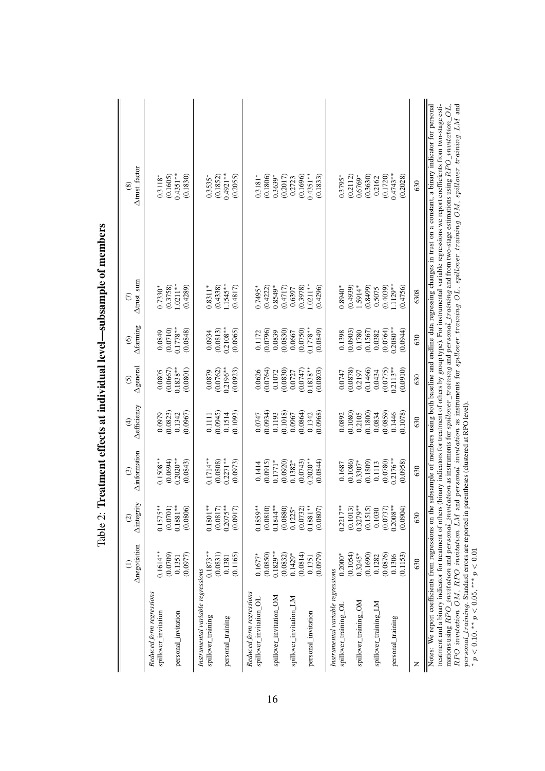<span id="page-15-0"></span>

|                                                                                                                                           | $\widehat{z}$          | $\widehat{c}$           | $\odot$               | $\widehat{E}$      | $\widehat{c}$      | $\circledcirc$     | $\epsilon$            | $\circledast$                                                                                                                                                                                                                                                                                                                                                                                      |
|-------------------------------------------------------------------------------------------------------------------------------------------|------------------------|-------------------------|-----------------------|--------------------|--------------------|--------------------|-----------------------|----------------------------------------------------------------------------------------------------------------------------------------------------------------------------------------------------------------------------------------------------------------------------------------------------------------------------------------------------------------------------------------------------|
|                                                                                                                                           | Anegotiation           | <b>Aintegrity</b>       | $\Delta$ information  | Aefficiency        | $\Delta$ general   | Afarming           | Atrust_sum            | ∆trust_factor                                                                                                                                                                                                                                                                                                                                                                                      |
| Reduced form regressions<br>spillover_invitation                                                                                          | $0.1614***$            | $0.1575***$             | $0.1508**$            | 0.0979             | 0.0805             | 0.0849             | $0.7330*$             | $0.3118*$                                                                                                                                                                                                                                                                                                                                                                                          |
|                                                                                                                                           | (0.0709)               | (0.0701)                | (0.0694)              | (0.0823)           | (0.0667)           | (0.0710)           | (0.3758)              | (0.1605)                                                                                                                                                                                                                                                                                                                                                                                           |
| personal_invitation                                                                                                                       | 0.1351                 | $0.1881**$              | $0.2020**$            | 0.1342             | $0.1838**$         | $0.1778**$         | $1.0211**$            | $0.4351***$                                                                                                                                                                                                                                                                                                                                                                                        |
|                                                                                                                                           | (0.0977)               | (0.0806)                | (0.0843)              | (0.0967)           | (0.0801)           | (0.0848)           | (0.4289)              | (0.1830)                                                                                                                                                                                                                                                                                                                                                                                           |
| Instrumental variable regressions<br>spillover_training                                                                                   | $0.1873**$             | $0.1801**$              | $0.1714**$            | $0.1111$           | 0.0879             | 0.0934             | $0.8311*$             | $0.3535*$                                                                                                                                                                                                                                                                                                                                                                                          |
|                                                                                                                                           | (0.0831)               | (0.0817)                | (0.0808)              | (0.0945)           | (0.0762)           | (0.0813)           | (0.4338)              | (0.1852)                                                                                                                                                                                                                                                                                                                                                                                           |
| personal_training                                                                                                                         | 0.1381                 | $0.2075**$              | $0.2271**$            | 0.1514             | $0.2196***$        | $0.2108**$         | $1.1545**$            | $0.4921**$                                                                                                                                                                                                                                                                                                                                                                                         |
|                                                                                                                                           | (0.1165)               | (0.0917)                | (0.0973)              | (0.1093)           | (0.0923)           | (0.0965)           | (0.4817)              | (0.2055)                                                                                                                                                                                                                                                                                                                                                                                           |
| Reduced form regressions                                                                                                                  |                        | $0.1859**$              |                       |                    |                    |                    |                       |                                                                                                                                                                                                                                                                                                                                                                                                    |
| spillover_invitation_OL                                                                                                                   | $0.1677*$              |                         | 0.1414                | (0.0934)<br>0.0747 | 0.0626             | 0.1172             | $0.7495*$             | $0.3181*$                                                                                                                                                                                                                                                                                                                                                                                          |
| spillover_invitation_OM                                                                                                                   | $0.1829**$<br>(0.0850) | $0.1844***$<br>(0.0810) | (0.0915)<br>$0.1771*$ | 0.1193             | (0.0764)<br>0.1072 | (0.0796)<br>0.0839 | (0.4222)<br>$0.8549*$ | (0.1806)<br>$0.3639*$                                                                                                                                                                                                                                                                                                                                                                              |
|                                                                                                                                           | (0.0832)               | (0.0880)                | (0.0920)              | (0.1018)           | (0.0830)           | (0.0830)           | (0.4717)              | (0.2017)                                                                                                                                                                                                                                                                                                                                                                                           |
| spillover_invitation_LM                                                                                                                   | $0.1429*$              | $0.1225*$               | $0.1382*$             | 0.0967             | 0.0727             | 0.0667             | 0.6397                | 0.2723                                                                                                                                                                                                                                                                                                                                                                                             |
|                                                                                                                                           | (0.0814)               | (0.0732)                | (0.0743)              | (0.0864)           | (0.0747)           | (0.0750)           | (0.3978)              | (0.1696)                                                                                                                                                                                                                                                                                                                                                                                           |
| personal_invitation                                                                                                                       | 0.1351                 | $0.1881**$              | $0.2020**$            | 0.1342             | $0.1838***$        | $0.1778**$         | $.0211**$             | $0.4351***$                                                                                                                                                                                                                                                                                                                                                                                        |
|                                                                                                                                           | (0.0979)               | (0.0807)                | (0.0844)              | (0.0968)           | (0.0803)           | (0.0849)           | (0.4296)              | (0.1833)                                                                                                                                                                                                                                                                                                                                                                                           |
| Instrumental variable regressions                                                                                                         |                        |                         |                       |                    |                    |                    |                       |                                                                                                                                                                                                                                                                                                                                                                                                    |
| spillover_training_OL                                                                                                                     | $0.2000*$              | $0.2217**$              | 0.1687                | 0.0892             | 0.0747             | 0.1398             | $0.8940*$             | $0.3795*$                                                                                                                                                                                                                                                                                                                                                                                          |
|                                                                                                                                           | (0.1054)               | (0.1013)                | (0.1086)              | (0.1080)           | (0.0878)           | (0.0903)           | (0.4939)              | (0.2112)                                                                                                                                                                                                                                                                                                                                                                                           |
| spillover_training_OM                                                                                                                     | $0.3245*$              | $0.3279**$              | $0.3307*$             | 0.2105             | 0.2197             | 0.1780             | 1.5914*               | $0.6769*$                                                                                                                                                                                                                                                                                                                                                                                          |
|                                                                                                                                           | (0.1690)               | (0.1515)                | (0.1809)              | (0.1800)           | (0.1466)           | (0.1567)           | (0.8499)              | (0.3630)                                                                                                                                                                                                                                                                                                                                                                                           |
| spillover_training_LM                                                                                                                     | 0.1282                 | 0.1030                  | 0.1113                | 0.0834             | 0.0434             | 0.0382             | 0.5075                | 0.2162                                                                                                                                                                                                                                                                                                                                                                                             |
|                                                                                                                                           | (0.0876)               | (0.0737)                | (0.0780)              | (0.0859)           | (0.0775)           | (0.0764)           | (0.4039)              | (0.1720)                                                                                                                                                                                                                                                                                                                                                                                           |
| personal_training                                                                                                                         | 0.1306                 | $0.2008**$              | $0.2176**$            | 0.1446             | $0.2113**$         | $0.2080**$         | $.1129**$             | $0.4743**$                                                                                                                                                                                                                                                                                                                                                                                         |
|                                                                                                                                           | (0.1153)               | (1000, 0)               | (0.0958)              | (0.1078)           | (0.0910)           | (0.0944)           | (0.4756)              | (0.2028)                                                                                                                                                                                                                                                                                                                                                                                           |
| Z                                                                                                                                         | 630                    | 630                     | 630                   | 630                | 630                | 630                | 6308                  | 630                                                                                                                                                                                                                                                                                                                                                                                                |
|                                                                                                                                           |                        |                         |                       |                    |                    |                    |                       | Notes: We report coefficients from regressions on the subsample of members using both baseline and endline data regressing changes in trust on a constant, a binary indicator for personal                                                                                                                                                                                                         |
|                                                                                                                                           |                        |                         |                       |                    |                    |                    |                       | treatment and a binary indicator for treatment of others (binary indicators for treatment of others by group type). For instrumental variable regressions we report coefficients from two-stage esti-<br>mations using $RPO\_invitation$ and $personal\_invitation$ as instruments for $spillover\_training$ and $personal\_training$ and from two-stage estimations using $RPO\_invitation\_OL$ . |
|                                                                                                                                           |                        |                         |                       |                    |                    |                    |                       | $RPO\_intation\_OM$ , $RPO\_invitation\_LM$ and personal_invitation as instruments for spillover_training_OL, spillover_training_OM, spillover_training_LM and                                                                                                                                                                                                                                     |
| personal_training. Standard errors are reported in parentheses (clustered at RPO level).<br>* $p < 0.10$ , ** $p < 0.05$ , *** $p < 0.01$ |                        |                         |                       |                    |                    |                    |                       |                                                                                                                                                                                                                                                                                                                                                                                                    |

 $p < 0.10$ , \*\*  $p < 0.05$ , \*\*\*  $p < 0.01$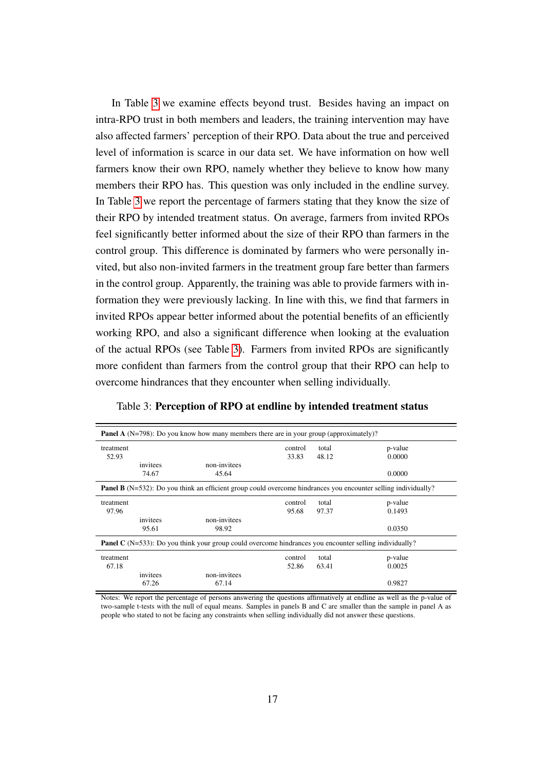In Table [3](#page-16-0) we examine effects beyond trust. Besides having an impact on intra-RPO trust in both members and leaders, the training intervention may have also affected farmers' perception of their RPO. Data about the true and perceived level of information is scarce in our data set. We have information on how well farmers know their own RPO, namely whether they believe to know how many members their RPO has. This question was only included in the endline survey. In Table [3](#page-16-0) we report the percentage of farmers stating that they know the size of their RPO by intended treatment status. On average, farmers from invited RPOs feel significantly better informed about the size of their RPO than farmers in the control group. This difference is dominated by farmers who were personally invited, but also non-invited farmers in the treatment group fare better than farmers in the control group. Apparently, the training was able to provide farmers with information they were previously lacking. In line with this, we find that farmers in invited RPOs appear better informed about the potential benefits of an efficiently working RPO, and also a significant difference when looking at the evaluation of the actual RPOs (see Table [3\)](#page-16-0). Farmers from invited RPOs are significantly more confident than farmers from the control group that their RPO can help to overcome hindrances that they encounter when selling individually.

|                                                                                                               |          | <b>Panel A</b> (N=798): Do you know how many members there are in your group (approximately)?                         |         |       |         |  |
|---------------------------------------------------------------------------------------------------------------|----------|-----------------------------------------------------------------------------------------------------------------------|---------|-------|---------|--|
| treatment                                                                                                     |          |                                                                                                                       | control | total | p-value |  |
| 52.93                                                                                                         |          |                                                                                                                       | 33.83   | 48.12 | 0.0000  |  |
|                                                                                                               | invitees | non-invitees                                                                                                          |         |       |         |  |
|                                                                                                               | 74.67    | 45.64                                                                                                                 |         |       | 0.0000  |  |
|                                                                                                               |          | <b>Panel B</b> (N=532): Do you think an efficient group could overcome hindrances you encounter selling individually? |         |       |         |  |
| treatment                                                                                                     |          |                                                                                                                       | control | total | p-value |  |
| 97.96                                                                                                         |          |                                                                                                                       | 95.68   | 97.37 | 0.1493  |  |
|                                                                                                               | invitees | non-invitees                                                                                                          |         |       |         |  |
|                                                                                                               | 95.61    | 98.92                                                                                                                 |         |       | 0.0350  |  |
| <b>Panel C</b> (N=533): Do you think your group could overcome hindrances you encounter selling individually? |          |                                                                                                                       |         |       |         |  |
| treatment                                                                                                     |          |                                                                                                                       | control | total | p-value |  |
| 67.18                                                                                                         |          |                                                                                                                       | 52.86   | 63.41 | 0.0025  |  |
|                                                                                                               | invitees | non-invitees                                                                                                          |         |       |         |  |
|                                                                                                               | 67.26    | 67.14                                                                                                                 |         |       | 0.9827  |  |

<span id="page-16-0"></span>Table 3: Perception of RPO at endline by intended treatment status

Notes: We report the percentage of persons answering the questions affirmatively at endline as well as the p-value of two-sample t-tests with the null of equal means. Samples in panels B and C are smaller than the sample in panel A as people who stated to not be facing any constraints when selling individually did not answer these questions.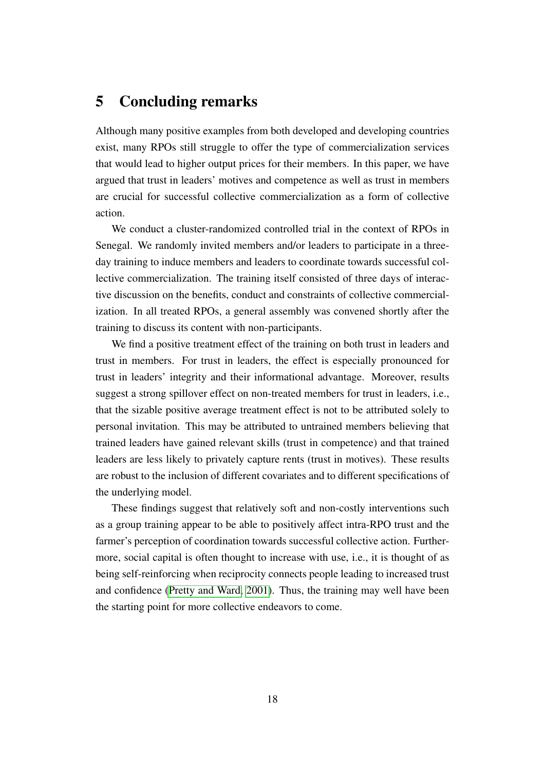### 5 Concluding remarks

Although many positive examples from both developed and developing countries exist, many RPOs still struggle to offer the type of commercialization services that would lead to higher output prices for their members. In this paper, we have argued that trust in leaders' motives and competence as well as trust in members are crucial for successful collective commercialization as a form of collective action.

We conduct a cluster-randomized controlled trial in the context of RPOs in Senegal. We randomly invited members and/or leaders to participate in a threeday training to induce members and leaders to coordinate towards successful collective commercialization. The training itself consisted of three days of interactive discussion on the benefits, conduct and constraints of collective commercialization. In all treated RPOs, a general assembly was convened shortly after the training to discuss its content with non-participants.

We find a positive treatment effect of the training on both trust in leaders and trust in members. For trust in leaders, the effect is especially pronounced for trust in leaders' integrity and their informational advantage. Moreover, results suggest a strong spillover effect on non-treated members for trust in leaders, i.e., that the sizable positive average treatment effect is not to be attributed solely to personal invitation. This may be attributed to untrained members believing that trained leaders have gained relevant skills (trust in competence) and that trained leaders are less likely to privately capture rents (trust in motives). These results are robust to the inclusion of different covariates and to different specifications of the underlying model.

These findings suggest that relatively soft and non-costly interventions such as a group training appear to be able to positively affect intra-RPO trust and the farmer's perception of coordination towards successful collective action. Furthermore, social capital is often thought to increase with use, i.e., it is thought of as being self-reinforcing when reciprocity connects people leading to increased trust and confidence [\(Pretty and Ward, 2001\)](#page-20-10). Thus, the training may well have been the starting point for more collective endeavors to come.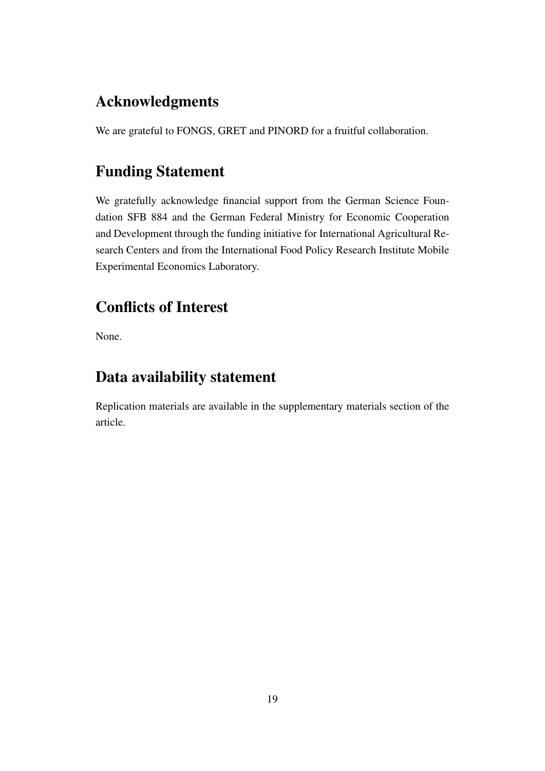## Acknowledgments

We are grateful to FONGS, GRET and PINORD for a fruitful collaboration.

## Funding Statement

We gratefully acknowledge financial support from the German Science Foundation SFB 884 and the German Federal Ministry for Economic Cooperation and Development through the funding initiative for International Agricultural Research Centers and from the International Food Policy Research Institute Mobile Experimental Economics Laboratory.

## Conflicts of Interest

None.

## Data availability statement

Replication materials are available in the supplementary materials section of the article.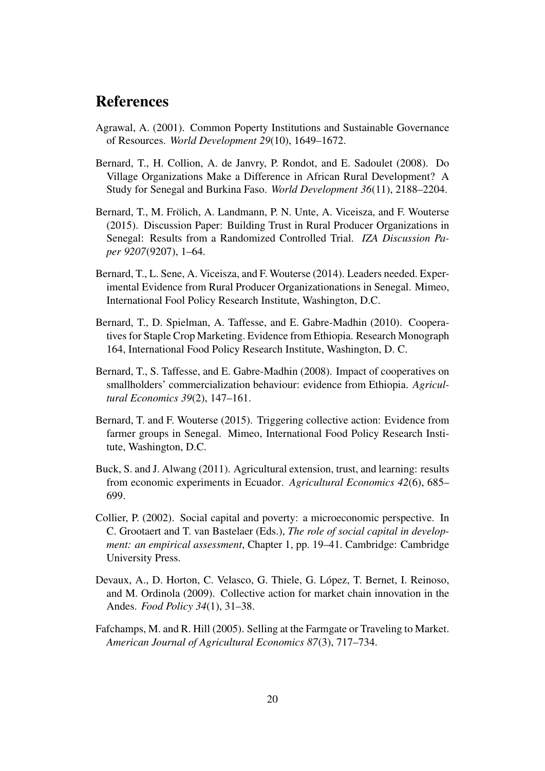## References

- <span id="page-19-10"></span>Agrawal, A. (2001). Common Poperty Institutions and Sustainable Governance of Resources. *World Development 29*(10), 1649–1672.
- <span id="page-19-1"></span>Bernard, T., H. Collion, A. de Janvry, P. Rondot, and E. Sadoulet (2008). Do Village Organizations Make a Difference in African Rural Development? A Study for Senegal and Burkina Faso. *World Development 36*(11), 2188–2204.
- <span id="page-19-8"></span>Bernard, T., M. Frölich, A. Landmann, P. N. Unte, A. Viceisza, and F. Wouterse (2015). Discussion Paper: Building Trust in Rural Producer Organizations in Senegal: Results from a Randomized Controlled Trial. *IZA Discussion Paper 9207*(9207), 1–64.
- <span id="page-19-6"></span>Bernard, T., L. Sene, A. Viceisza, and F. Wouterse (2014). Leaders needed. Experimental Evidence from Rural Producer Organizationations in Senegal. Mimeo, International Fool Policy Research Institute, Washington, D.C.
- <span id="page-19-2"></span>Bernard, T., D. Spielman, A. Taffesse, and E. Gabre-Madhin (2010). Cooperatives for Staple Crop Marketing. Evidence from Ethiopia. Research Monograph 164, International Food Policy Research Institute, Washington, D. C.
- <span id="page-19-9"></span>Bernard, T., S. Taffesse, and E. Gabre-Madhin (2008). Impact of cooperatives on smallholders' commercialization behaviour: evidence from Ethiopia. *Agricultural Economics 39*(2), 147–161.
- <span id="page-19-4"></span>Bernard, T. and F. Wouterse (2015). Triggering collective action: Evidence from farmer groups in Senegal. Mimeo, International Food Policy Research Institute, Washington, D.C.
- <span id="page-19-5"></span>Buck, S. and J. Alwang (2011). Agricultural extension, trust, and learning: results from economic experiments in Ecuador. *Agricultural Economics 42*(6), 685– 699.
- <span id="page-19-7"></span>Collier, P. (2002). Social capital and poverty: a microeconomic perspective. In C. Grootaert and T. van Bastelaer (Eds.), *The role of social capital in development: an empirical assessment*, Chapter 1, pp. 19–41. Cambridge: Cambridge University Press.
- <span id="page-19-0"></span>Devaux, A., D. Horton, C. Velasco, G. Thiele, G. López, T. Bernet, I. Reinoso, and M. Ordinola (2009). Collective action for market chain innovation in the Andes. *Food Policy 34*(1), 31–38.
- <span id="page-19-3"></span>Fafchamps, M. and R. Hill (2005). Selling at the Farmgate or Traveling to Market. *American Journal of Agricultural Economics 87*(3), 717–734.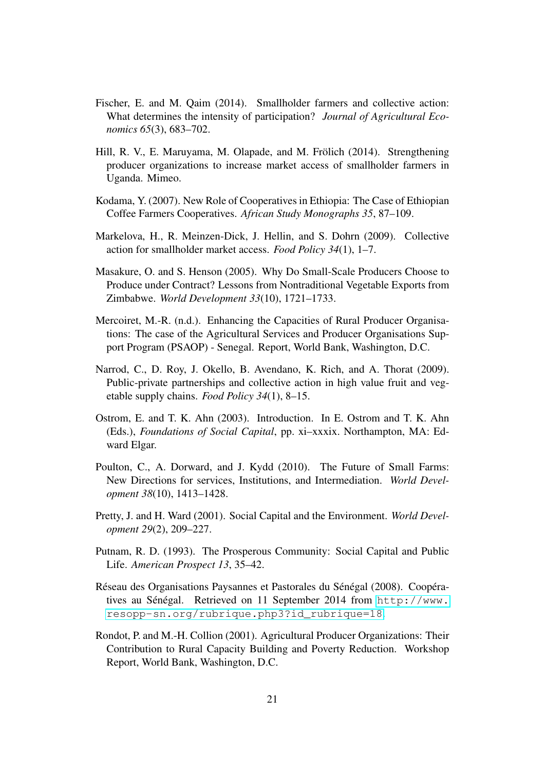- <span id="page-20-5"></span>Fischer, E. and M. Qaim (2014). Smallholder farmers and collective action: What determines the intensity of participation? *Journal of Agricultural Economics 65*(3), 683–702.
- <span id="page-20-6"></span>Hill, R. V., E. Maruyama, M. Olapade, and M. Frölich (2014). Strengthening producer organizations to increase market access of smallholder farmers in Uganda. Mimeo.
- <span id="page-20-3"></span>Kodama, Y. (2007). New Role of Cooperatives in Ethiopia: The Case of Ethiopian Coffee Farmers Cooperatives. *African Study Monographs 35*, 87–109.
- <span id="page-20-0"></span>Markelova, H., R. Meinzen-Dick, J. Hellin, and S. Dohrn (2009). Collective action for smallholder market access. *Food Policy 34*(1), 1–7.
- <span id="page-20-7"></span>Masakure, O. and S. Henson (2005). Why Do Small-Scale Producers Choose to Produce under Contract? Lessons from Nontraditional Vegetable Exports from Zimbabwe. *World Development 33*(10), 1721–1733.
- <span id="page-20-11"></span>Mercoiret, M.-R. (n.d.). Enhancing the Capacities of Rural Producer Organisations: The case of the Agricultural Services and Producer Organisations Support Program (PSAOP) - Senegal. Report, World Bank, Washington, D.C.
- <span id="page-20-4"></span>Narrod, C., D. Roy, J. Okello, B. Avendano, K. Rich, and A. Thorat (2009). Public-private partnerships and collective action in high value fruit and vegetable supply chains. *Food Policy 34*(1), 8–15.
- <span id="page-20-8"></span>Ostrom, E. and T. K. Ahn (2003). Introduction. In E. Ostrom and T. K. Ahn (Eds.), *Foundations of Social Capital*, pp. xi–xxxix. Northampton, MA: Edward Elgar.
- <span id="page-20-2"></span>Poulton, C., A. Dorward, and J. Kydd (2010). The Future of Small Farms: New Directions for services, Institutions, and Intermediation. *World Development 38*(10), 1413–1428.
- <span id="page-20-10"></span>Pretty, J. and H. Ward (2001). Social Capital and the Environment. *World Development 29*(2), 209–227.
- <span id="page-20-9"></span>Putnam, R. D. (1993). The Prosperous Community: Social Capital and Public Life. *American Prospect 13*, 35–42.
- <span id="page-20-12"></span>Réseau des Organisations Paysannes et Pastorales du Sénégal (2008). Coopératives au Sénégal. Retrieved on 11 September 2014 from [http://www.](http://www.resopp-sn.org/rubrique.php3?id_rubrique=18) [resopp-sn.org/rubrique.php3?id\\_rubrique=18](http://www.resopp-sn.org/rubrique.php3?id_rubrique=18).
- <span id="page-20-1"></span>Rondot, P. and M.-H. Collion (2001). Agricultural Producer Organizations: Their Contribution to Rural Capacity Building and Poverty Reduction. Workshop Report, World Bank, Washington, D.C.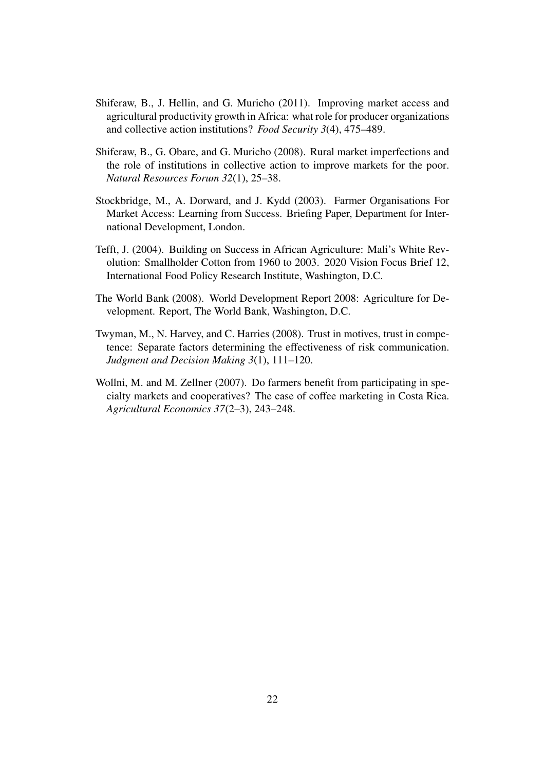- <span id="page-21-3"></span>Shiferaw, B., J. Hellin, and G. Muricho (2011). Improving market access and agricultural productivity growth in Africa: what role for producer organizations and collective action institutions? *Food Security 3*(4), 475–489.
- <span id="page-21-5"></span>Shiferaw, B., G. Obare, and G. Muricho (2008). Rural market imperfections and the role of institutions in collective action to improve markets for the poor. *Natural Resources Forum 32*(1), 25–38.
- <span id="page-21-1"></span>Stockbridge, M., A. Dorward, and J. Kydd (2003). Farmer Organisations For Market Access: Learning from Success. Briefing Paper, Department for International Development, London.
- <span id="page-21-2"></span>Tefft, J. (2004). Building on Success in African Agriculture: Mali's White Revolution: Smallholder Cotton from 1960 to 2003. 2020 Vision Focus Brief 12, International Food Policy Research Institute, Washington, D.C.
- <span id="page-21-0"></span>The World Bank (2008). World Development Report 2008: Agriculture for Development. Report, The World Bank, Washington, D.C.
- <span id="page-21-4"></span>Twyman, M., N. Harvey, and C. Harries (2008). Trust in motives, trust in competence: Separate factors determining the effectiveness of risk communication. *Judgment and Decision Making 3*(1), 111–120.
- <span id="page-21-6"></span>Wollni, M. and M. Zellner (2007). Do farmers benefit from participating in specialty markets and cooperatives? The case of coffee marketing in Costa Rica. *Agricultural Economics 37*(2–3), 243–248.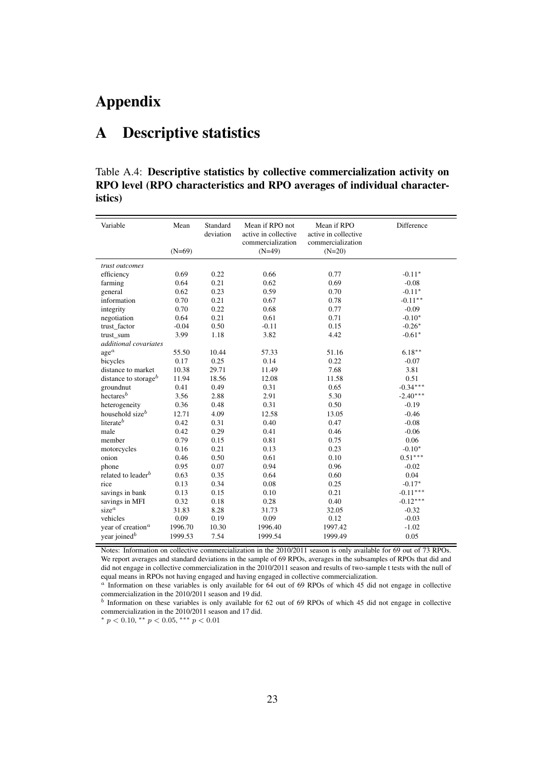## Appendix

## A Descriptive statistics

#### <span id="page-22-0"></span>Table A.4: Descriptive statistics by collective commercialization activity on RPO level (RPO characteristics and RPO averages of individual characteristics)

| Variable                         | Mean<br>$(N=69)$ | Standard<br>deviation | Mean if RPO not<br>active in collective<br>commercialization<br>$(N=49)$ | Mean if RPO<br>active in collective<br>commercialization<br>$(N=20)$ | Difference |
|----------------------------------|------------------|-----------------------|--------------------------------------------------------------------------|----------------------------------------------------------------------|------------|
| trust outcomes                   |                  |                       |                                                                          |                                                                      |            |
| efficiency                       | 0.69             | 0.22                  | 0.66                                                                     | 0.77                                                                 | $-0.11*$   |
| farming                          | 0.64             | 0.21                  | 0.62                                                                     | 0.69                                                                 | $-0.08$    |
| general                          | 0.62             | 0.23                  | 0.59                                                                     | 0.70                                                                 | $-0.11*$   |
| information                      | 0.70             | 0.21                  | 0.67                                                                     | 0.78                                                                 | $-0.11**$  |
| integrity                        | 0.70             | 0.22                  | 0.68                                                                     | 0.77                                                                 | $-0.09$    |
| negotiation                      | 0.64             | 0.21                  | 0.61                                                                     | 0.71                                                                 | $-0.10*$   |
| trust_factor                     | $-0.04$          | 0.50                  | $-0.11$                                                                  | 0.15                                                                 | $-0.26*$   |
| trust_sum                        | 3.99             | 1.18                  | 3.82                                                                     | 4.42                                                                 | $-0.61*$   |
| additional covariates            |                  |                       |                                                                          |                                                                      |            |
| $\mathrm{age}^a$                 | 55.50            | 10.44                 | 57.33                                                                    | 51.16                                                                | $6.18***$  |
| bicycles                         | 0.17             | 0.25                  | 0.14                                                                     | 0.22                                                                 | $-0.07$    |
| distance to market               | 10.38            | 29.71                 | 11.49                                                                    | 7.68                                                                 | 3.81       |
| distance to storage <sup>b</sup> | 11.94            | 18.56                 | 12.08                                                                    | 11.58                                                                | 0.51       |
| groundnut                        | 0.41             | 0.49                  | 0.31                                                                     | 0.65                                                                 | $-0.34***$ |
| hectares <sup>b</sup>            | 3.56             | 2.88                  | 2.91                                                                     | 5.30                                                                 | $-2.40***$ |
| heterogeneity                    | 0.36             | 0.48                  | 0.31                                                                     | 0.50                                                                 | $-0.19$    |
| household size $^b$              | 12.71            | 4.09                  | 12.58                                                                    | 13.05                                                                | $-0.46$    |
| literate <sup>b</sup>            | 0.42             | 0.31                  | 0.40                                                                     | 0.47                                                                 | $-0.08$    |
| male                             | 0.42             | 0.29                  | 0.41                                                                     | 0.46                                                                 | $-0.06$    |
| member                           | 0.79             | 0.15                  | 0.81                                                                     | 0.75                                                                 | 0.06       |
| motorcycles                      | 0.16             | 0.21                  | 0.13                                                                     | 0.23                                                                 | $-0.10*$   |
| onion                            | 0.46             | 0.50                  | 0.61                                                                     | 0.10                                                                 | $0.51***$  |
| phone                            | 0.95             | 0.07                  | 0.94                                                                     | 0.96                                                                 | $-0.02$    |
| related to leader <sup>b</sup>   | 0.63             | 0.35                  | 0.64                                                                     | 0.60                                                                 | 0.04       |
| rice                             | 0.13             | 0.34                  | 0.08                                                                     | 0.25                                                                 | $-0.17*$   |
| savings in bank                  | 0.13             | 0.15                  | 0.10                                                                     | 0.21                                                                 | $-0.11***$ |
| savings in MFI                   | 0.32             | 0.18                  | 0.28                                                                     | 0.40                                                                 | $-0.12***$ |
| $size^a$                         | 31.83            | 8.28                  | 31.73                                                                    | 32.05                                                                | $-0.32$    |
| vehicles                         | 0.09             | 0.19                  | 0.09                                                                     | 0.12                                                                 | $-0.03$    |
| year of creation <sup>a</sup>    | 1996.70          | 10.30                 | 1996.40                                                                  | 1997.42                                                              | $-1.02$    |
| year joined <sup>b</sup>         | 1999.53          | 7.54                  | 1999.54                                                                  | 1999.49                                                              | 0.05       |

Notes: Information on collective commercialization in the 2010/2011 season is only available for 69 out of 73 RPOs. We report averages and standard deviations in the sample of 69 RPOs, averages in the subsamples of RPOs that did and did not engage in collective commercialization in the 2010/2011 season and results of two-sample t tests with the null of equal means in RPOs not having engaged and having engaged in collective commercialization.

<sup>a</sup> Information on these variables is only available for 64 out of 69 RPOs of which 45 did not engage in collective commercialization in the 2010/2011 season and 19 did.

 $<sup>b</sup>$  Information on these variables is only available for 62 out of 69 RPOs of which 45 did not engage in collective</sup> commercialization in the 2010/2011 season and 17 did.

\*  $p < 0.10$ , \*\*  $p < 0.05$ , \*\*\*  $p < 0.01$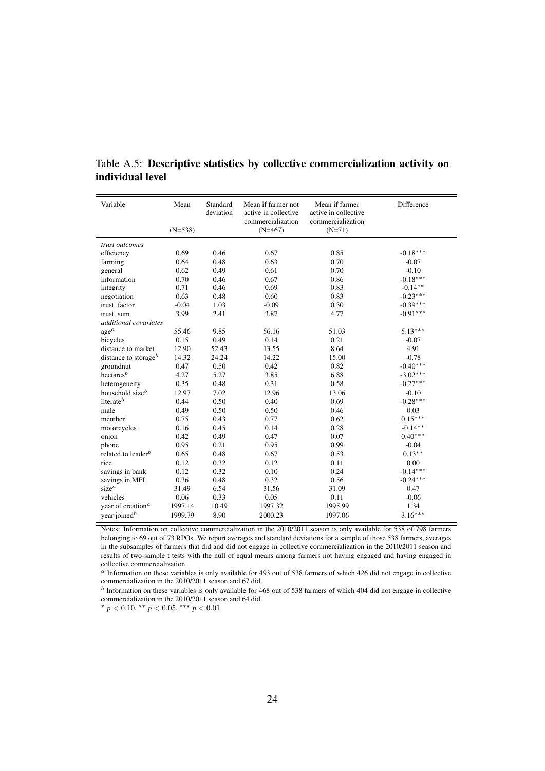| Variable                              | Mean<br>$(N=538)$ | Standard<br>deviation | Mean if farmer not<br>active in collective<br>commercialization<br>$(N=467)$ | Mean if farmer<br>active in collective<br>commercialization<br>$(N=71)$ | Difference |
|---------------------------------------|-------------------|-----------------------|------------------------------------------------------------------------------|-------------------------------------------------------------------------|------------|
|                                       |                   |                       |                                                                              |                                                                         |            |
| trust outcomes<br>efficiency          | 0.69              | 0.46                  | 0.67                                                                         | 0.85                                                                    | $-0.18***$ |
|                                       | 0.64              | 0.48                  | 0.63                                                                         | 0.70                                                                    | $-0.07$    |
| farming<br>general                    | 0.62              | 0.49                  | 0.61                                                                         | 0.70                                                                    | $-0.10$    |
| information                           | 0.70              | 0.46                  | 0.67                                                                         | 0.86                                                                    | $-0.18***$ |
|                                       | 0.71              | 0.46                  | 0.69                                                                         | 0.83                                                                    | $-0.14***$ |
| integrity                             | 0.63              | 0.48                  | 0.60                                                                         | 0.83                                                                    | $-0.23***$ |
| negotiation<br>trust factor           | $-0.04$           | 1.03                  | $-0.09$                                                                      | 0.30                                                                    | $-0.39***$ |
|                                       | 3.99              | 2.41                  | 3.87                                                                         | 4.77                                                                    | $-0.91***$ |
| trust sum<br>additional covariates    |                   |                       |                                                                              |                                                                         |            |
|                                       | 55.46             | 9.85                  | 56.16                                                                        | 51.03                                                                   | $5.13***$  |
| $\mbox{age}^a$                        | 0.15              | 0.49                  | 0.14                                                                         | 0.21                                                                    | $-0.07$    |
| bicycles                              | 12.90             | 52.43                 | 13.55                                                                        | 8.64                                                                    | 4.91       |
| distance to market                    |                   | 24.24                 | 14.22                                                                        | 15.00                                                                   |            |
| distance to storage <sup>b</sup>      | 14.32             |                       |                                                                              |                                                                         | $-0.78$    |
| groundnut                             | 0.47              | 0.50                  | 0.42                                                                         | 0.82                                                                    | $-0.40***$ |
| $h$ ectares <sup><math>b</math></sup> | 4.27              | 5.27                  | 3.85                                                                         | 6.88                                                                    | $-3.02***$ |
| heterogeneity                         | 0.35              | 0.48                  | 0.31                                                                         | 0.58                                                                    | $-0.27***$ |
| household size <sup>b</sup>           | 12.97             | 7.02                  | 12.96                                                                        | 13.06                                                                   | $-0.10$    |
| literate <sup>b</sup>                 | 0.44              | 0.50                  | 0.40                                                                         | 0.69                                                                    | $-0.28***$ |
| male                                  | 0.49              | 0.50                  | 0.50                                                                         | 0.46                                                                    | 0.03       |
| member                                | 0.75              | 0.43                  | 0.77                                                                         | 0.62                                                                    | $0.15***$  |
| motorcycles                           | 0.16              | 0.45                  | 0.14                                                                         | 0.28                                                                    | $-0.14***$ |
| onion                                 | 0.42              | 0.49                  | 0.47                                                                         | 0.07                                                                    | $0.40***$  |
| phone                                 | 0.95              | 0.21                  | 0.95                                                                         | 0.99                                                                    | $-0.04$    |
| related to leader <sup>b</sup>        | 0.65              | 0.48                  | 0.67                                                                         | 0.53                                                                    | $0.13**$   |
| rice                                  | 0.12              | 0.32                  | 0.12                                                                         | 0.11                                                                    | $0.00\,$   |
| savings in bank                       | 0.12              | 0.32                  | 0.10                                                                         | 0.24                                                                    | $-0.14***$ |
| savings in MFI                        | 0.36              | 0.48                  | 0.32                                                                         | 0.56                                                                    | $-0.24***$ |
| $size^a$                              | 31.49             | 6.54                  | 31.56                                                                        | 31.09                                                                   | 0.47       |
| vehicles                              | 0.06              | 0.33                  | 0.05                                                                         | 0.11                                                                    | $-0.06$    |
| year of creation <sup>a</sup>         | 1997.14           | 10.49                 | 1997.32                                                                      | 1995.99                                                                 | 1.34       |
| year joined <sup>b</sup>              | 1999.79           | 8.90                  | 2000.23                                                                      | 1997.06                                                                 | $3.16***$  |

<span id="page-23-0"></span>Table A.5: Descriptive statistics by collective commercialization activity on individual level

Notes: Information on collective commercialization in the 2010/2011 season is only available for 538 of 798 farmers belonging to 69 out of 73 RPOs. We report averages and standard deviations for a sample of those 538 farmers, averages in the subsamples of farmers that did and did not engage in collective commercialization in the 2010/2011 season and results of two-sample t tests with the null of equal means among farmers not having engaged and having engaged in collective commercialization.

<sup>a</sup> Information on these variables is only available for 493 out of 538 farmers of which 426 did not engage in collective commercialization in the 2010/2011 season and 67 did.

 $<sup>b</sup>$  Information on these variables is only available for 468 out of 538 farmers of which 404 did not engage in collective</sup> commercialization in the 2010/2011 season and 64 did.

\*  $p < 0.10$ , \*\*  $p < 0.05$ , \*\*\*  $p < 0.01$